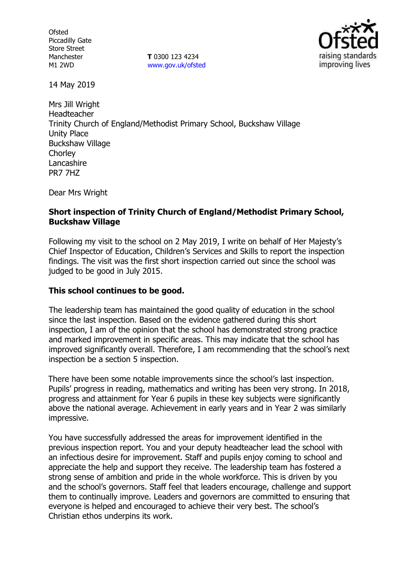**Ofsted** Piccadilly Gate Store Street Manchester M1 2WD

**T** 0300 123 4234 [www.gov.uk/ofsted](http://www.gov.uk/ofsted)



14 May 2019

Mrs Jill Wright Headteacher Trinity Church of England/Methodist Primary School, Buckshaw Village Unity Place Buckshaw Village **Chorley** Lancashire PR7 7HZ

Dear Mrs Wright

## **Short inspection of Trinity Church of England/Methodist Primary School, Buckshaw Village**

Following my visit to the school on 2 May 2019, I write on behalf of Her Majesty's Chief Inspector of Education, Children's Services and Skills to report the inspection findings. The visit was the first short inspection carried out since the school was judged to be good in July 2015.

## **This school continues to be good.**

The leadership team has maintained the good quality of education in the school since the last inspection. Based on the evidence gathered during this short inspection, I am of the opinion that the school has demonstrated strong practice and marked improvement in specific areas. This may indicate that the school has improved significantly overall. Therefore, I am recommending that the school's next inspection be a section 5 inspection.

There have been some notable improvements since the school's last inspection. Pupils' progress in reading, mathematics and writing has been very strong. In 2018, progress and attainment for Year 6 pupils in these key subjects were significantly above the national average. Achievement in early years and in Year 2 was similarly impressive.

You have successfully addressed the areas for improvement identified in the previous inspection report. You and your deputy headteacher lead the school with an infectious desire for improvement. Staff and pupils enjoy coming to school and appreciate the help and support they receive. The leadership team has fostered a strong sense of ambition and pride in the whole workforce. This is driven by you and the school's governors. Staff feel that leaders encourage, challenge and support them to continually improve. Leaders and governors are committed to ensuring that everyone is helped and encouraged to achieve their very best. The school's Christian ethos underpins its work.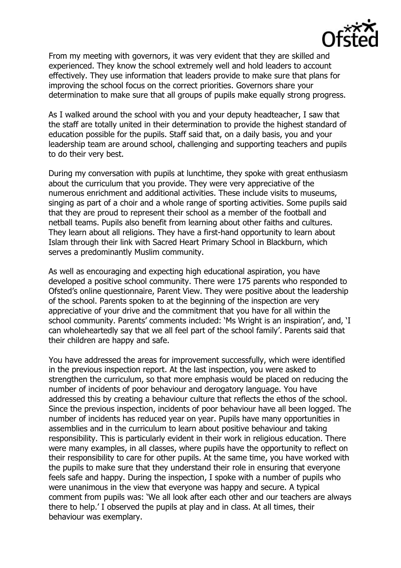

From my meeting with governors, it was very evident that they are skilled and experienced. They know the school extremely well and hold leaders to account effectively. They use information that leaders provide to make sure that plans for improving the school focus on the correct priorities. Governors share your determination to make sure that all groups of pupils make equally strong progress.

As I walked around the school with you and your deputy headteacher, I saw that the staff are totally united in their determination to provide the highest standard of education possible for the pupils. Staff said that, on a daily basis, you and your leadership team are around school, challenging and supporting teachers and pupils to do their very best.

During my conversation with pupils at lunchtime, they spoke with great enthusiasm about the curriculum that you provide. They were very appreciative of the numerous enrichment and additional activities. These include visits to museums, singing as part of a choir and a whole range of sporting activities. Some pupils said that they are proud to represent their school as a member of the football and netball teams. Pupils also benefit from learning about other faiths and cultures. They learn about all religions. They have a first-hand opportunity to learn about Islam through their link with Sacred Heart Primary School in Blackburn, which serves a predominantly Muslim community.

As well as encouraging and expecting high educational aspiration, you have developed a positive school community. There were 175 parents who responded to Ofsted's online questionnaire, Parent View. They were positive about the leadership of the school. Parents spoken to at the beginning of the inspection are very appreciative of your drive and the commitment that you have for all within the school community. Parents' comments included: 'Ms Wright is an inspiration', and, 'I can wholeheartedly say that we all feel part of the school family'. Parents said that their children are happy and safe.

You have addressed the areas for improvement successfully, which were identified in the previous inspection report. At the last inspection, you were asked to strengthen the curriculum, so that more emphasis would be placed on reducing the number of incidents of poor behaviour and derogatory language. You have addressed this by creating a behaviour culture that reflects the ethos of the school. Since the previous inspection, incidents of poor behaviour have all been logged. The number of incidents has reduced year on year. Pupils have many opportunities in assemblies and in the curriculum to learn about positive behaviour and taking responsibility. This is particularly evident in their work in religious education. There were many examples, in all classes, where pupils have the opportunity to reflect on their responsibility to care for other pupils. At the same time, you have worked with the pupils to make sure that they understand their role in ensuring that everyone feels safe and happy. During the inspection, I spoke with a number of pupils who were unanimous in the view that everyone was happy and secure. A typical comment from pupils was: 'We all look after each other and our teachers are always there to help.' I observed the pupils at play and in class. At all times, their behaviour was exemplary.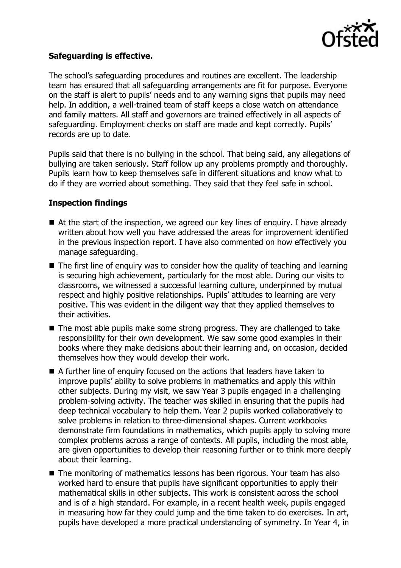

## **Safeguarding is effective.**

The school's safeguarding procedures and routines are excellent. The leadership team has ensured that all safeguarding arrangements are fit for purpose. Everyone on the staff is alert to pupils' needs and to any warning signs that pupils may need help. In addition, a well-trained team of staff keeps a close watch on attendance and family matters. All staff and governors are trained effectively in all aspects of safeguarding. Employment checks on staff are made and kept correctly. Pupils' records are up to date.

Pupils said that there is no bullying in the school. That being said, any allegations of bullying are taken seriously. Staff follow up any problems promptly and thoroughly. Pupils learn how to keep themselves safe in different situations and know what to do if they are worried about something. They said that they feel safe in school.

# **Inspection findings**

- $\blacksquare$  At the start of the inspection, we agreed our key lines of enguiry. I have already written about how well you have addressed the areas for improvement identified in the previous inspection report. I have also commented on how effectively you manage safeguarding.
- $\blacksquare$  The first line of enguiry was to consider how the quality of teaching and learning is securing high achievement, particularly for the most able. During our visits to classrooms, we witnessed a successful learning culture, underpinned by mutual respect and highly positive relationships. Pupils' attitudes to learning are very positive. This was evident in the diligent way that they applied themselves to their activities.
- The most able pupils make some strong progress. They are challenged to take responsibility for their own development. We saw some good examples in their books where they make decisions about their learning and, on occasion, decided themselves how they would develop their work.
- A further line of enquiry focused on the actions that leaders have taken to improve pupils' ability to solve problems in mathematics and apply this within other subjects. During my visit, we saw Year 3 pupils engaged in a challenging problem-solving activity. The teacher was skilled in ensuring that the pupils had deep technical vocabulary to help them. Year 2 pupils worked collaboratively to solve problems in relation to three-dimensional shapes. Current workbooks demonstrate firm foundations in mathematics, which pupils apply to solving more complex problems across a range of contexts. All pupils, including the most able, are given opportunities to develop their reasoning further or to think more deeply about their learning.
- The monitoring of mathematics lessons has been rigorous. Your team has also worked hard to ensure that pupils have significant opportunities to apply their mathematical skills in other subjects. This work is consistent across the school and is of a high standard. For example, in a recent health week, pupils engaged in measuring how far they could jump and the time taken to do exercises. In art, pupils have developed a more practical understanding of symmetry. In Year 4, in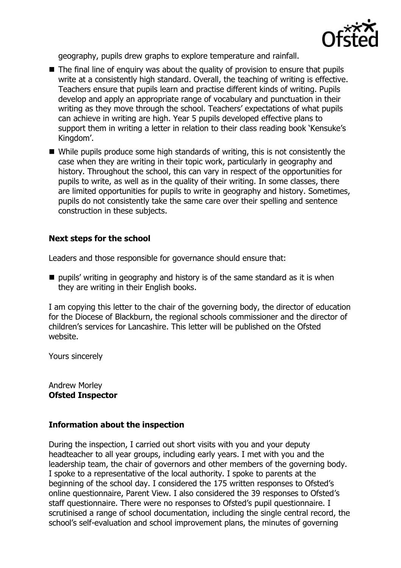

geography, pupils drew graphs to explore temperature and rainfall.

- The final line of enguiry was about the quality of provision to ensure that pupils write at a consistently high standard. Overall, the teaching of writing is effective. Teachers ensure that pupils learn and practise different kinds of writing. Pupils develop and apply an appropriate range of vocabulary and punctuation in their writing as they move through the school. Teachers' expectations of what pupils can achieve in writing are high. Year 5 pupils developed effective plans to support them in writing a letter in relation to their class reading book 'Kensuke's Kingdom'.
- While pupils produce some high standards of writing, this is not consistently the case when they are writing in their topic work, particularly in geography and history. Throughout the school, this can vary in respect of the opportunities for pupils to write, as well as in the quality of their writing. In some classes, there are limited opportunities for pupils to write in geography and history. Sometimes, pupils do not consistently take the same care over their spelling and sentence construction in these subjects.

## **Next steps for the school**

Leaders and those responsible for governance should ensure that:

 $\blacksquare$  pupils' writing in geography and history is of the same standard as it is when they are writing in their English books.

I am copying this letter to the chair of the governing body, the director of education for the Diocese of Blackburn, the regional schools commissioner and the director of children's services for Lancashire. This letter will be published on the Ofsted website.

Yours sincerely

Andrew Morley **Ofsted Inspector**

## **Information about the inspection**

During the inspection, I carried out short visits with you and your deputy headteacher to all year groups, including early years. I met with you and the leadership team, the chair of governors and other members of the governing body. I spoke to a representative of the local authority. I spoke to parents at the beginning of the school day. I considered the 175 written responses to Ofsted's online questionnaire, Parent View. I also considered the 39 responses to Ofsted's staff questionnaire. There were no responses to Ofsted's pupil questionnaire. I scrutinised a range of school documentation, including the single central record, the school's self-evaluation and school improvement plans, the minutes of governing